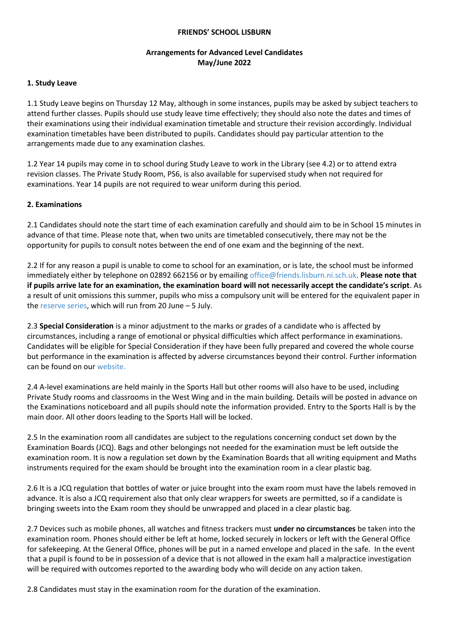#### **FRIENDS' SCHOOL LISBURN**

## **Arrangements for Advanced Level Candidates May/June 2022**

### **1. Study Leave**

1.1 Study Leave begins on Thursday 12 May, although in some instances, pupils may be asked by subject teachers to attend further classes. Pupils should use study leave time effectively; they should also note the dates and times of their examinations using their individual examination timetable and structure their revision accordingly. Individual examination timetables have been distributed to pupils. Candidates should pay particular attention to the arrangements made due to any examination clashes.

1.2 Year 14 pupils may come in to school during Study Leave to work in the Library (see 4.2) or to attend extra revision classes. The Private Study Room, PS6, is also available for supervised study when not required for examinations. Year 14 pupils are not required to wear uniform during this period.

### **2. Examinations**

2.1 Candidates should note the start time of each examination carefully and should aim to be in School 15 minutes in advance of that time. Please note that, when two units are timetabled consecutively, there may not be the opportunity for pupils to consult notes between the end of one exam and the beginning of the next.

2.2 If for any reason a pupil is unable to come to school for an examination, or is late, the school must be informed immediately either by telephone on 02892 662156 or by emailing [office@friends.lisburn.ni.sch.uk.](mailto:office@friends.lisburn.ni.sch.uk) **Please note that if pupils arrive late for an examination, the examination board will not necessarily accept the candidate's script**. As a result of unit omissions this summer, pupils who miss a compulsory unit will be entered for the equivalent paper in the [reserve series,](https://ccea.org.uk/downloads/docs/ccea-asset/Examinations/Final%20GCE%20A2%20Reserve%20Examinations%20Timetable%20Summer%202022.pdf) which will run from 20 June – 5 July.

2.3 **Special Consideration** is a minor adjustment to the marks or grades of a candidate who is affected by circumstances, including a range of emotional or physical difficulties which affect performance in examinations. Candidates will be eligible for Special Consideration if they have been fully prepared and covered the whole course but performance in the examination is affected by adverse circumstances beyond their control. Further information can be found on our [website.](https://www.friendsschoollisburn.org.uk/index.php/school-life/academic/examinations/external) 

2.4 A-level examinations are held mainly in the Sports Hall but other rooms will also have to be used, including Private Study rooms and classrooms in the West Wing and in the main building. Details will be posted in advance on the Examinations noticeboard and all pupils should note the information provided. Entry to the Sports Hall is by the main door. All other doors leading to the Sports Hall will be locked.

2.5 In the examination room all candidates are subject to the regulations concerning conduct set down by the Examination Boards (JCQ). Bags and other belongings not needed for the examination must be left outside the examination room. It is now a regulation set down by the Examination Boards that all writing equipment and Maths instruments required for the exam should be brought into the examination room in a clear plastic bag.

2.6 It is a JCQ regulation that bottles of water or juice brought into the exam room must have the labels removed in advance. It is also a JCQ requirement also that only clear wrappers for sweets are permitted, so if a candidate is bringing sweets into the Exam room they should be unwrapped and placed in a clear plastic bag.

2.7 Devices such as mobile phones, all watches and fitness trackers must **under no circumstances** be taken into the examination room. Phones should either be left at home, locked securely in lockers or left with the General Office for safekeeping. At the General Office, phones will be put in a named envelope and placed in the safe. In the event that a pupil is found to be in possession of a device that is not allowed in the exam hall a malpractice investigation will be required with outcomes reported to the awarding body who will decide on any action taken.

2.8 Candidates must stay in the examination room for the duration of the examination.